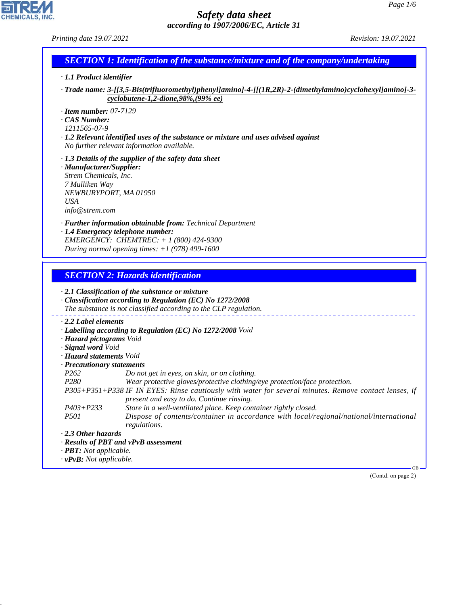| Page $1/6$<br>Safety data sheet<br>according to 1907/2006/EC, Article 31                                                                                                                                       |                                                                                                                                                                                                                                                                                                                                                                                                                                                                                                                              |                      |
|----------------------------------------------------------------------------------------------------------------------------------------------------------------------------------------------------------------|------------------------------------------------------------------------------------------------------------------------------------------------------------------------------------------------------------------------------------------------------------------------------------------------------------------------------------------------------------------------------------------------------------------------------------------------------------------------------------------------------------------------------|----------------------|
| Printing date 19.07.2021                                                                                                                                                                                       |                                                                                                                                                                                                                                                                                                                                                                                                                                                                                                                              | Revision: 19.07.2021 |
|                                                                                                                                                                                                                | <b>SECTION 1: Identification of the substance/mixture and of the company/undertaking</b>                                                                                                                                                                                                                                                                                                                                                                                                                                     |                      |
| · 1.1 Product identifier                                                                                                                                                                                       |                                                                                                                                                                                                                                                                                                                                                                                                                                                                                                                              |                      |
|                                                                                                                                                                                                                | -Trade name: 3-[[3,5-Bis(trifluoromethyl)phenyl]amino]-4-[[(1R,2R)-2-(dimethylamino)cyclohexyl]amino]-3-<br>cyclobutene-1,2-dione,98%,(99% ee)                                                                                                                                                                                                                                                                                                                                                                               |                      |
| $\cdot$ Item number: 07-7129<br>· CAS Number:<br>1211565-07-9                                                                                                                                                  | $\cdot$ 1.2 Relevant identified uses of the substance or mixture and uses advised against<br>No further relevant information available.                                                                                                                                                                                                                                                                                                                                                                                      |                      |
| · Manufacturer/Supplier:<br>Strem Chemicals, Inc.<br>7 Mulliken Way<br>NEWBURYPORT, MA 01950<br><b>USA</b><br>info@strem.com                                                                                   | $\cdot$ 1.3 Details of the supplier of the safety data sheet                                                                                                                                                                                                                                                                                                                                                                                                                                                                 |                      |
|                                                                                                                                                                                                                | · Further information obtainable from: Technical Department<br>· 1.4 Emergency telephone number:<br>EMERGENCY: CHEMTREC: $+ 1 (800) 424 - 9300$<br>During normal opening times: $+1$ (978) 499-1600                                                                                                                                                                                                                                                                                                                          |                      |
|                                                                                                                                                                                                                | <b>SECTION 2: Hazards identification</b>                                                                                                                                                                                                                                                                                                                                                                                                                                                                                     |                      |
|                                                                                                                                                                                                                | $\cdot$ 2.1 Classification of the substance or mixture<br>· Classification according to Regulation (EC) No 1272/2008<br>The substance is not classified according to the CLP regulation.                                                                                                                                                                                                                                                                                                                                     |                      |
| $\cdot$ 2.2 Label elements<br>· Hazard pictograms Void<br>· Signal word Void<br>· Hazard statements Void<br>· Precautionary statements<br>P <sub>262</sub><br>P <sub>280</sub><br>$P403 + P233$<br><i>P501</i> | · Labelling according to Regulation (EC) No 1272/2008 Void<br>Do not get in eyes, on skin, or on clothing.<br>Wear protective gloves/protective clothing/eye protection/face protection.<br>P305+P351+P338 IF IN EYES: Rinse cautiously with water for several minutes. Remove contact lenses, if<br>present and easy to do. Continue rinsing.<br>Store in a well-ventilated place. Keep container tightly closed.<br>Dispose of contents/container in accordance with local/regional/national/international<br>regulations. |                      |
| $\cdot$ 2.3 Other hazards                                                                                                                                                                                      |                                                                                                                                                                                                                                                                                                                                                                                                                                                                                                                              |                      |

- *· Results of PBT and vPvB assessment*
- *· PBT: Not applicable.*
- *· vPvB: Not applicable.*

44.1.1

(Contd. on page 2)

GB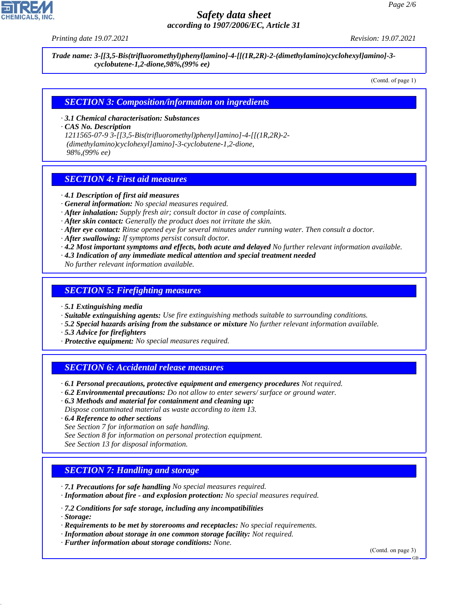

# *Safety data sheet according to 1907/2006/EC, Article 31*

*Printing date 19.07.2021 Revision: 19.07.2021*

*Trade name: 3-[[3,5-Bis(trifluoromethyl)phenyl]amino]-4-[[(1R,2R)-2-(dimethylamino)cyclohexyl]amino]-3 cyclobutene-1,2-dione,98%,(99% ee)*

(Contd. of page 1)

#### *SECTION 3: Composition/information on ingredients*

*· 3.1 Chemical characterisation: Substances*

*· CAS No. Description*

*1211565-07-9 3-[[3,5-Bis(trifluoromethyl)phenyl]amino]-4-[[(1R,2R)-2- (dimethylamino)cyclohexyl]amino]-3-cyclobutene-1,2-dione, 98%,(99% ee)*

### *SECTION 4: First aid measures*

- *· 4.1 Description of first aid measures*
- *· General information: No special measures required.*
- *· After inhalation: Supply fresh air; consult doctor in case of complaints.*
- *· After skin contact: Generally the product does not irritate the skin.*
- *· After eye contact: Rinse opened eye for several minutes under running water. Then consult a doctor.*
- *· After swallowing: If symptoms persist consult doctor.*
- *· 4.2 Most important symptoms and effects, both acute and delayed No further relevant information available.*
- *· 4.3 Indication of any immediate medical attention and special treatment needed*
- *No further relevant information available.*

#### *SECTION 5: Firefighting measures*

- *· 5.1 Extinguishing media*
- *· Suitable extinguishing agents: Use fire extinguishing methods suitable to surrounding conditions.*
- *· 5.2 Special hazards arising from the substance or mixture No further relevant information available.*
- *· 5.3 Advice for firefighters*
- *· Protective equipment: No special measures required.*

#### *SECTION 6: Accidental release measures*

- *· 6.1 Personal precautions, protective equipment and emergency procedures Not required.*
- *· 6.2 Environmental precautions: Do not allow to enter sewers/ surface or ground water.*
- *· 6.3 Methods and material for containment and cleaning up:*
- *Dispose contaminated material as waste according to item 13.*
- *· 6.4 Reference to other sections*
- *See Section 7 for information on safe handling.*
- *See Section 8 for information on personal protection equipment.*
- *See Section 13 for disposal information.*

#### *SECTION 7: Handling and storage*

- *· 7.1 Precautions for safe handling No special measures required.*
- *· Information about fire and explosion protection: No special measures required.*
- *· 7.2 Conditions for safe storage, including any incompatibilities*
- *· Storage:*

44.1.1

- *· Requirements to be met by storerooms and receptacles: No special requirements.*
- *· Information about storage in one common storage facility: Not required.*
- *· Further information about storage conditions: None.*

(Contd. on page 3)

GB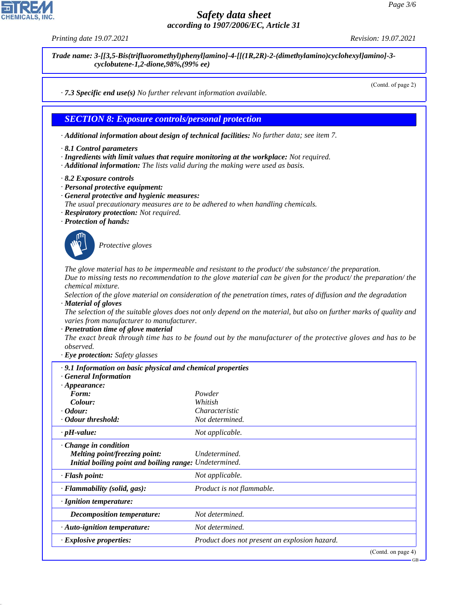# *Safety data sheet according to 1907/2006/EC, Article 31*

*Printing date 19.07.2021 Revision: 19.07.2021*

*Trade name: 3-[[3,5-Bis(trifluoromethyl)phenyl]amino]-4-[[(1R,2R)-2-(dimethylamino)cyclohexyl]amino]-3 cyclobutene-1,2-dione,98%,(99% ee)*

(Contd. of page 2)

*· 7.3 Specific end use(s) No further relevant information available.*

#### *SECTION 8: Exposure controls/personal protection*

*· Additional information about design of technical facilities: No further data; see item 7.*

- *· 8.1 Control parameters*
- *· Ingredients with limit values that require monitoring at the workplace: Not required.*
- *· Additional information: The lists valid during the making were used as basis.*
- *· 8.2 Exposure controls*
- *· Personal protective equipment:*
- *· General protective and hygienic measures:*
- *The usual precautionary measures are to be adhered to when handling chemicals.*
- *· Respiratory protection: Not required.*
- *· Protection of hands:*



44.1.1

\_S*Protective gloves*

*The glove material has to be impermeable and resistant to the product/ the substance/ the preparation. Due to missing tests no recommendation to the glove material can be given for the product/ the preparation/ the chemical mixture.*

*Selection of the glove material on consideration of the penetration times, rates of diffusion and the degradation · Material of gloves*

*The selection of the suitable gloves does not only depend on the material, but also on further marks of quality and varies from manufacturer to manufacturer.*

*· Penetration time of glove material*

*The exact break through time has to be found out by the manufacturer of the protective gloves and has to be observed.*

*· Eye protection: Safety glasses*

| $\cdot$ 9.1 Information on basic physical and chemical properties<br><b>General Information</b>                        |                                               |
|------------------------------------------------------------------------------------------------------------------------|-----------------------------------------------|
| $\cdot$ Appearance:                                                                                                    |                                               |
| Form:                                                                                                                  | Powder                                        |
| Colour:                                                                                                                | Whitish                                       |
| $\cdot$ Odour:                                                                                                         | Characteristic                                |
| · Odour threshold:                                                                                                     | Not determined.                               |
| $\cdot$ pH-value:                                                                                                      | Not applicable.                               |
| $\cdot$ Change in condition<br>Melting point/freezing point:<br>Initial boiling point and boiling range: Undetermined. | Undetermined.                                 |
| $\cdot$ Flash point:                                                                                                   | Not applicable.                               |
| $\cdot$ Flammability (solid, gas):                                                                                     | Product is not flammable.                     |
| $\cdot$ Ignition temperature:                                                                                          |                                               |
| <i>Decomposition temperature:</i>                                                                                      | Not determined.                               |
| $\cdot$ Auto-ignition temperature:                                                                                     | Not determined.                               |
| · Explosive properties:                                                                                                | Product does not present an explosion hazard. |
|                                                                                                                        | (Contd. on page 4)                            |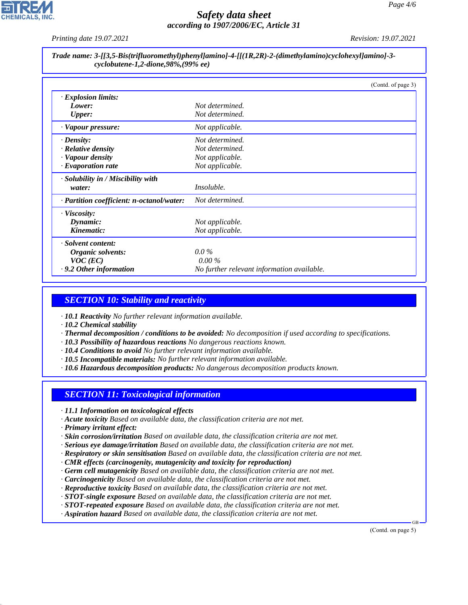

# *Safety data sheet according to 1907/2006/EC, Article 31*

*Printing date 19.07.2021 Revision: 19.07.2021*

#### *Trade name: 3-[[3,5-Bis(trifluoromethyl)phenyl]amino]-4-[[(1R,2R)-2-(dimethylamino)cyclohexyl]amino]-3 cyclobutene-1,2-dione,98%,(99% ee)*

|                                           | (Contd. of page 3)                         |
|-------------------------------------------|--------------------------------------------|
| · Explosion limits:                       |                                            |
| Lower:                                    | Not determined.                            |
| <b>Upper:</b>                             | Not determined.                            |
| · Vapour pressure:                        | Not applicable.                            |
| $\cdot$ Density:                          | Not determined.                            |
| $\cdot$ Relative density                  | Not determined.                            |
| · Vapour density                          | Not applicable.                            |
| $\cdot$ Evaporation rate                  | Not applicable.                            |
| $\cdot$ Solubility in / Miscibility with  |                                            |
| water:                                    | <i>Insoluble.</i>                          |
| · Partition coefficient: n-octanol/water: | Not determined.                            |
| $\cdot$ Viscosity:                        |                                            |
| Dynamic:                                  | Not applicable.                            |
| Kinematic:                                | Not applicable.                            |
| · Solvent content:                        |                                            |
| Organic solvents:                         | $0.0\%$                                    |
| $VOC$ (EC)                                | $0.00\%$                                   |
| $\cdot$ 9.2 Other information             | No further relevant information available. |

# *SECTION 10: Stability and reactivity*

*· 10.1 Reactivity No further relevant information available.*

*· 10.2 Chemical stability*

- *· Thermal decomposition / conditions to be avoided: No decomposition if used according to specifications.*
- *· 10.3 Possibility of hazardous reactions No dangerous reactions known.*
- *· 10.4 Conditions to avoid No further relevant information available.*
- *· 10.5 Incompatible materials: No further relevant information available.*
- *· 10.6 Hazardous decomposition products: No dangerous decomposition products known.*

# *SECTION 11: Toxicological information*

- *· 11.1 Information on toxicological effects*
- *· Acute toxicity Based on available data, the classification criteria are not met.*
- *· Primary irritant effect:*

44.1.1

- *· Skin corrosion/irritation Based on available data, the classification criteria are not met.*
- *· Serious eye damage/irritation Based on available data, the classification criteria are not met.*
- *· Respiratory or skin sensitisation Based on available data, the classification criteria are not met.*
- *· CMR effects (carcinogenity, mutagenicity and toxicity for reproduction)*
- *· Germ cell mutagenicity Based on available data, the classification criteria are not met.*
- *· Carcinogenicity Based on available data, the classification criteria are not met.*
- *· Reproductive toxicity Based on available data, the classification criteria are not met.*
- *· STOT-single exposure Based on available data, the classification criteria are not met.*
- *· STOT-repeated exposure Based on available data, the classification criteria are not met.*
- *· Aspiration hazard Based on available data, the classification criteria are not met.*

(Contd. on page 5)

GB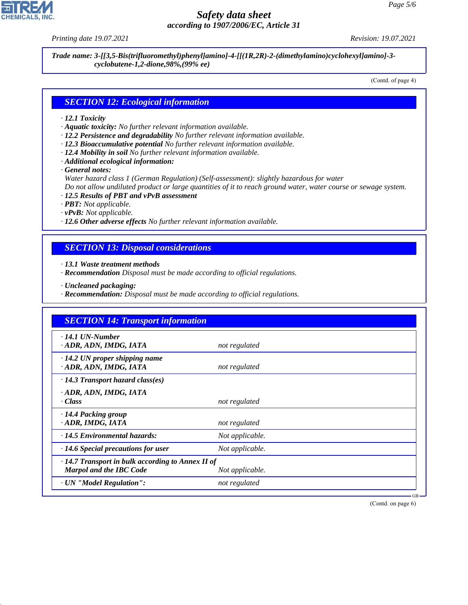44.1.1

# *Safety data sheet according to 1907/2006/EC, Article 31*

*Printing date 19.07.2021 Revision: 19.07.2021*

*Trade name: 3-[[3,5-Bis(trifluoromethyl)phenyl]amino]-4-[[(1R,2R)-2-(dimethylamino)cyclohexyl]amino]-3 cyclobutene-1,2-dione,98%,(99% ee)*

(Contd. of page 4)

#### *SECTION 12: Ecological information*

#### *· 12.1 Toxicity*

- *· Aquatic toxicity: No further relevant information available.*
- *· 12.2 Persistence and degradability No further relevant information available.*
- *· 12.3 Bioaccumulative potential No further relevant information available.*
- *· 12.4 Mobility in soil No further relevant information available.*
- *· Additional ecological information:*

*· General notes:*

*Water hazard class 1 (German Regulation) (Self-assessment): slightly hazardous for water*

*Do not allow undiluted product or large quantities of it to reach ground water, water course or sewage system.*

- *· 12.5 Results of PBT and vPvB assessment*
- *· PBT: Not applicable.*
- *· vPvB: Not applicable.*
- *· 12.6 Other adverse effects No further relevant information available.*

# *SECTION 13: Disposal considerations*

*· 13.1 Waste treatment methods*

- *· Recommendation Disposal must be made according to official regulations.*
- *· Uncleaned packaging:*
- *· Recommendation: Disposal must be made according to official regulations.*

| <b>SECTION 14: Transport information</b>                                                  |                 |  |  |  |
|-------------------------------------------------------------------------------------------|-----------------|--|--|--|
| $\cdot$ 14.1 UN-Number<br>· ADR, ADN, IMDG, IATA                                          | not regulated   |  |  |  |
| $\cdot$ 14.2 UN proper shipping name<br>· ADR, ADN, IMDG, IATA                            | not regulated   |  |  |  |
| $\cdot$ 14.3 Transport hazard class(es)                                                   |                 |  |  |  |
| · ADR, ADN, IMDG, IATA<br>$\cdot Class$                                                   | not regulated   |  |  |  |
| · 14.4 Packing group<br>· ADR, IMDG, IATA                                                 | not regulated   |  |  |  |
| $\cdot$ 14.5 Environmental hazards:                                                       | Not applicable. |  |  |  |
| $\cdot$ 14.6 Special precautions for user                                                 | Not applicable. |  |  |  |
| $\cdot$ 14.7 Transport in bulk according to Annex II of<br><b>Marpol and the IBC Code</b> | Not applicable. |  |  |  |
| · UN "Model Regulation":                                                                  | not regulated   |  |  |  |

(Contd. on page 6)

GB